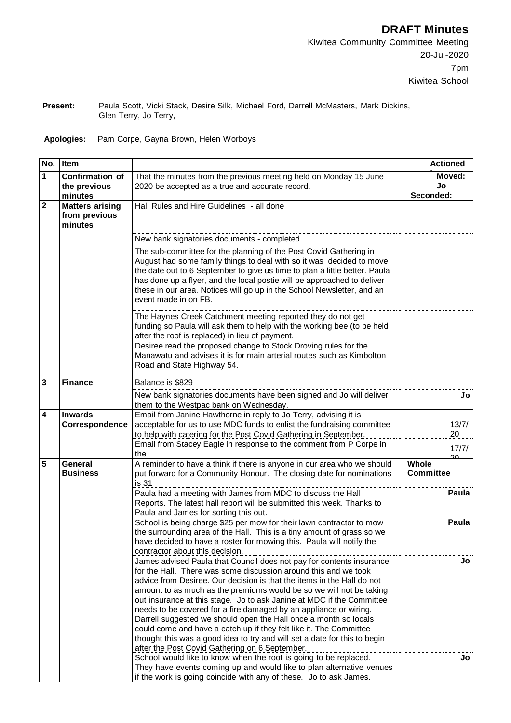**Present:** Paula Scott, Vicki Stack, Desire Silk, Michael Ford, Darrell McMasters, Mark Dickins, Glen Terry, Jo Terry,

## **Apologies:** Pam Corpe, Gayna Brown, Helen Worboys

| No.            | <b>Item</b>                                        |                                                                                                                                                                                                                                                                                                                                                                                                                                        | <b>Actioned</b>                |
|----------------|----------------------------------------------------|----------------------------------------------------------------------------------------------------------------------------------------------------------------------------------------------------------------------------------------------------------------------------------------------------------------------------------------------------------------------------------------------------------------------------------------|--------------------------------|
| 1              | <b>Confirmation of</b><br>the previous<br>minutes  | That the minutes from the previous meeting held on Monday 15 June<br>2020 be accepted as a true and accurate record.                                                                                                                                                                                                                                                                                                                   | Moved:<br>Jo<br>Seconded:      |
| $\overline{2}$ | <b>Matters arising</b><br>from previous<br>minutes | Hall Rules and Hire Guidelines - all done                                                                                                                                                                                                                                                                                                                                                                                              |                                |
|                |                                                    | New bank signatories documents - completed                                                                                                                                                                                                                                                                                                                                                                                             |                                |
|                |                                                    | The sub-committee for the planning of the Post Covid Gathering in<br>August had some family things to deal with so it was decided to move<br>the date out to 6 September to give us time to plan a little better. Paula<br>has done up a flyer, and the local postie will be approached to deliver<br>these in our area. Notices will go up in the School Newsletter, and an<br>event made in on FB.                                   |                                |
|                |                                                    | The Haynes Creek Catchment meeting reported they do not get<br>funding so Paula will ask them to help with the working bee (to be held<br>after the roof is replaced) in lieu of payment.<br>Desiree read the proposed change to Stock Droving rules for the                                                                                                                                                                           |                                |
|                |                                                    | Manawatu and advises it is for main arterial routes such as Kimbolton<br>Road and State Highway 54.                                                                                                                                                                                                                                                                                                                                    |                                |
| 3              | <b>Finance</b>                                     | Balance is \$829                                                                                                                                                                                                                                                                                                                                                                                                                       |                                |
|                |                                                    | New bank signatories documents have been signed and Jo will deliver<br>them to the Westpac bank on Wednesday.                                                                                                                                                                                                                                                                                                                          | $\bf{Jo}$                      |
| 4              | <b>Inwards</b>                                     | Email from Janine Hawthorne in reply to Jo Terry, advising it is                                                                                                                                                                                                                                                                                                                                                                       |                                |
|                | Correspondence                                     | acceptable for us to use MDC funds to enlist the fundraising committee<br>to help with catering for the Post Covid Gathering in September.                                                                                                                                                                                                                                                                                             | 13/7/<br>20                    |
|                |                                                    | Email from Stacey Eagle in response to the comment from P Corpe in<br>the                                                                                                                                                                                                                                                                                                                                                              | 17/7/                          |
| 5              | <b>General</b><br><b>Business</b>                  | A reminder to have a think if there is anyone in our area who we should<br>put forward for a Community Honour. The closing date for nominations                                                                                                                                                                                                                                                                                        | ഛ<br>Whole<br><b>Committee</b> |
|                |                                                    | is 31                                                                                                                                                                                                                                                                                                                                                                                                                                  |                                |
|                |                                                    | Paula had a meeting with James from MDC to discuss the Hall<br>Reports. The latest hall report will be submitted this week. Thanks to<br>Paula and James for sorting this out.                                                                                                                                                                                                                                                         | Paula                          |
|                |                                                    | School is being charge \$25 per mow for their lawn contractor to mow<br>the surrounding area of the Hall. This is a tiny amount of grass so we<br>have decided to have a roster for mowing this. Paula will notify the<br>contractor about this decision.                                                                                                                                                                              | Paula                          |
|                |                                                    | James advised Paula that Council does not pay for contents insurance<br>for the Hall. There was some discussion around this and we took<br>advice from Desiree. Our decision is that the items in the Hall do not<br>amount to as much as the premiums would be so we will not be taking<br>out insurance at this stage. Jo to ask Janine at MDC if the Committee<br>needs to be covered for a fire damaged by an appliance or wiring. | JO                             |
|                |                                                    | Darrell suggested we should open the Hall once a month so locals<br>could come and have a catch up if they felt like it. The Committee<br>thought this was a good idea to try and will set a date for this to begin<br>after the Post Covid Gathering on 6 September.                                                                                                                                                                  |                                |
|                |                                                    | School would like to know when the roof is going to be replaced.<br>They have events coming up and would like to plan alternative venues<br>if the work is going coincide with any of these. Jo to ask James.                                                                                                                                                                                                                          | Jo                             |